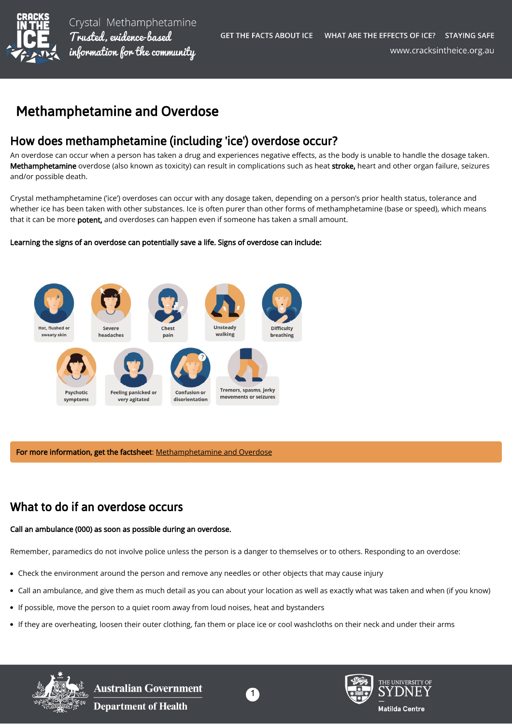

Crystal Methamphetamine Trusted, evidence-based information for the community

# Methamphetamine and Overdose

# How does methamphetamine (including 'ice') overdose occur?

An overdose can occur when a person has taken a drug and experiences negative effects, as the body is unable to handle the dosage taken. Methamphetamine overdose (also known as toxicity) can result in complications such as heat stroke, heart and other organ failure, seizures and/or possible death.

Crystal methamphetamine ('ice') overdoses can occur with any dosage taken, depending on a person's prior health status, tolerance and whether ice has been taken with other substances. Ice is often purer than other forms of methamphetamine (base or speed), which means that it can be more potent, and overdoses can happen even if someone has taken a small amount.

#### Learning the signs of an overdose can potentially save a life. Signs of overdose can include:



For more information, get the factsheet: [Methamphetamine and Overdose](https://cracksintheice.org.au/document/library/staying-safe-methamphetamine-and-overdose-v6.pdf)

# What to do if an overdose occurs

#### Call an ambulance (000) as soon as possible during an overdose.

Remember, paramedics do not involve police unless the person is a danger to themselves or to others. Responding to an overdose:

- Check the environment around the person and remove any needles or other objects that may cause injury
- Call an ambulance, and give them as much detail as you can about your location as well as exactly what was taken and when (if you know)  $\bullet$
- If possible, move the person to a quiet room away from loud noises, heat and bystanders
- If they are overheating, loosen their outer clothing, fan them or place ice or cool washcloths on their neck and under their arms



Australian Government **Department of Health**